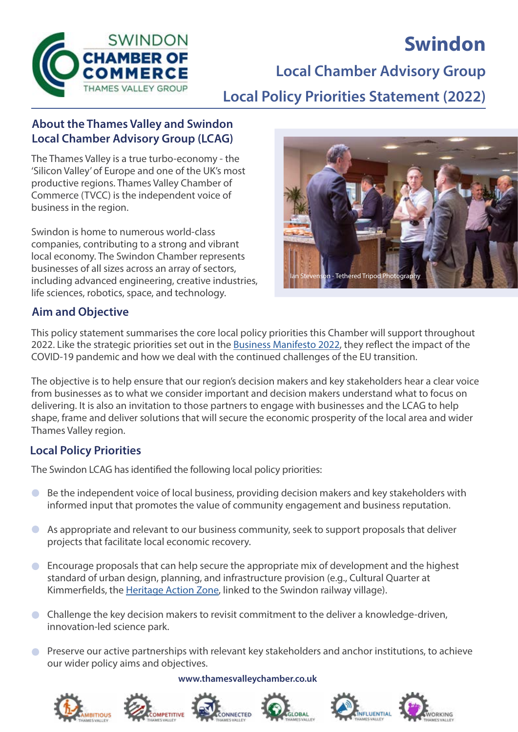

# **Swindon**

**Local Chamber Advisory Group**

**Local Policy Priorities Statement (2022)**

## **About the Thames Valley and Swindon Local Chamber Advisory Group (LCAG)**

The Thames Valley is a true turbo-economy - the 'Silicon Valley' of Europe and one of the UK's most productive regions. Thames Valley Chamber of Commerce (TVCC) is the independent voice of business in the region.

Swindon is home to numerous world-class companies, contributing to a strong and vibrant local economy. The Swindon Chamber represents businesses of all sizes across an array of sectors, including advanced engineering, creative industries, life sciences, robotics, space, and technology.



## **Aim and Objective**

This policy statement summarises the core local policy priorities this Chamber will support throughout 2022. Like the strategic priorities set out in the [Business Manifesto 2022](https://www.thamesvalleychamber.co.uk/wp-content/uploads/2021/11/Business-Manifesto-2022-Final-Draft.pdf), they reflect the impact of the COVID-19 pandemic and how we deal with the continued challenges of the EU transition.

The objective is to help ensure that our region's decision makers and key stakeholders hear a clear voice from businesses as to what we consider important and decision makers understand what to focus on delivering. It is also an invitation to those partners to engage with businesses and the LCAG to help shape, frame and deliver solutions that will secure the economic prosperity of the local area and wider Thames Valley region.

### **Local Policy Priorities**

The Swindon LCAG has identified the following local policy priorities:

- Be the independent voice of local business, providing decision makers and key stakeholders with  $\bullet$ informed input that promotes the value of community engagement and business reputation.
- $\bullet$ As appropriate and relevant to our business community, seek to support proposals that deliver projects that facilitate local economic recovery.
- Encourage proposals that can help secure the appropriate mix of development and the highest  $\bullet$ standard of urban design, planning, and infrastructure provision (e.g., Cultural Quarter at Kimmerfields, the [Heritage Action Zone](https://www.swindon.gov.uk/news/article/696/council_appoints_hemingwaydesign_to_create_a_place_brand_for_swindon_s_heritage_action_zone), linked to the Swindon railway village).
- Challenge the key decision makers to revisit commitment to the deliver a knowledge-driven, innovation-led science park.
- **C** Preserve our active partnerships with relevant key stakeholders and anchor institutions, to achieve our wider policy aims and objectives.

#### **www.thamesvalleychamber.co.uk**











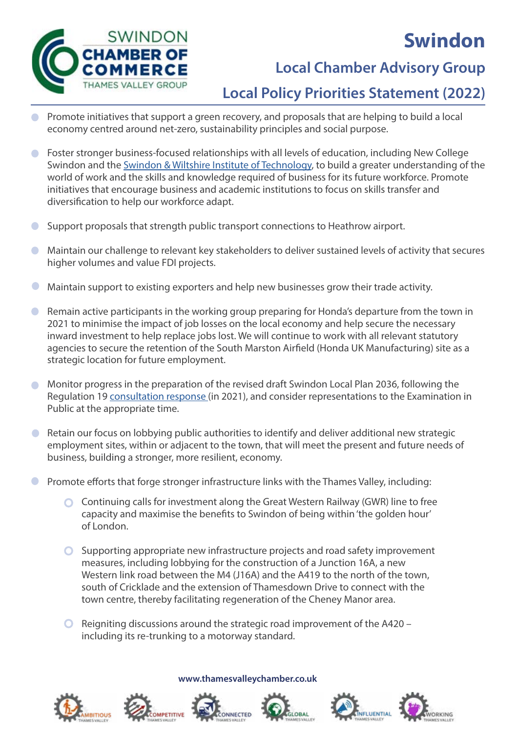

# **Swindon**

# **Local Chamber Advisory Group**

## **Local Policy Priorities Statement (2022)**

- Promote initiatives that support a green recovery, and proposals that are helping to build a local economy centred around net-zero, sustainability principles and social purpose.
- Foster stronger business-focused relationships with all levels of education, including New College Swindon and the [Swindon & Wiltshire Institute of Technology](https://www.sawiot.ac.uk/), to build a greater understanding of the world of work and the skills and knowledge required of business for its future workforce. Promote initiatives that encourage business and academic institutions to focus on skills transfer and diversification to help our workforce adapt.
- Support proposals that strength public transport connections to Heathrow airport.  $\Box$
- Maintain our challenge to relevant key stakeholders to deliver sustained levels of activity that secures  $\bullet$ higher volumes and value FDI projects.
- Maintain support to existing exporters and help new businesses grow their trade activity.
- Remain active participants in the working group preparing for Honda's departure from the town in  $\bullet$ 2021 to minimise the impact of job losses on the local economy and help secure the necessary inward investment to help replace jobs lost. We will continue to work with all relevant statutory agencies to secure the retention of the South Marston Airfield (Honda UK Manufacturing) site as a strategic location for future employment.
- Monitor progress in the preparation of the revised draft Swindon Local Plan 2036, following the  $\bullet$ Regulation 19 [consultation response](https://www.thamesvalleychamber.co.uk/wp-content/uploads/2021/10/05-10-2021_TVCC-submission_Revised-SBC-Reg-19-LP-Review-Reps_Annex-final.pdf) (in 2021), and consider representations to the Examination in Public at the appropriate time.
- Retain our focus on lobbying public authorities to identify and deliver additional new strategic  $\bullet$ employment sites, within or adjacent to the town, that will meet the present and future needs of business, building a stronger, more resilient, economy.
- Promote efforts that forge stronger infrastructure links with the Thames Valley, including:  $\overline{\phantom{0}}$ 
	- Continuing calls for investment along the Great Western Railway (GWR) line to free capacity and maximise the benefits to Swindon of being within 'the golden hour' of London.
	- Supporting appropriate new infrastructure projects and road safety improvement measures, including lobbying for the construction of a Junction 16A, a new Western link road between the M4 (J16A) and the A419 to the north of the town, south of Cricklade and the extension of Thamesdown Drive to connect with the town centre, thereby facilitating regeneration of the Cheney Manor area.
	- $\bigcirc$  Reigniting discussions around the strategic road improvement of the A420 including its re-trunking to a motorway standard.













**www.thamesvalleychamber.co.uk**